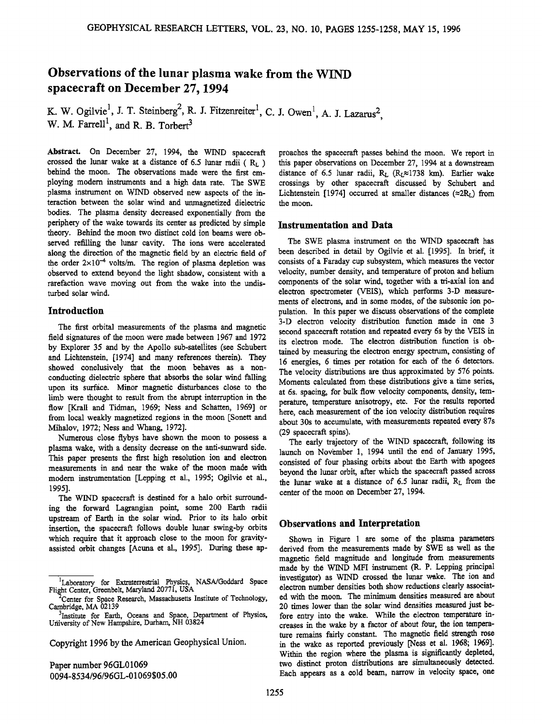# **Observations of the lunar plasma wake from the WIND spacecraft on December 27, 1994**

**K.** W. Ogilvie<sup>1</sup>, J. T. Steinberg<sup>2</sup>, R. J. Fitzenreiter<sup>1</sup>, C. J. Owen<sup>1</sup>, A. J. Lazarus<sup>2</sup>, W. M. Farrell<sup>1</sup>, and R. B. Torbert<sup>3</sup>

**Abstract. On December 27, 1994, the WIND spacecraft**  crossed the lunar wake at a distance of 6.5 lunar radii  $(R_L)$ **behind the moon. The observations made were the first employing modem instruments and a high data rate. The SWE plasma instrument on WIND observed new aspects of the interaction between the solar wind and unmagnetized dielectric bodies. The plasma density decreased exponentially from the periphery of the wake towards its center as predicted by simple theory. Behind the moon two distinct cold ion beams were observed refilling the lunar cavity. The ions were accelerated along the direction of the magnetic field by an electric field of**  the order  $2 \times 10^{-4}$  volts/m. The region of plasma depletion was **observed to extend beyond the light shadow, consistent wih a rarefaction wave moving out from the wake into the undisturbed solar wind.** 

## **Introduction**

**The first orbital measurements of the plasma and magnetic field signatures of the moon were made between 1967 and 1972 by Explorer 35 and by the Apollo sub-sateliites (see Schubert and Lichtenstein, [1974] and many references therein). They showed conclusively that the moon behaves as a nonconducting dielectric sphere that absorbs the solar wind falling upon its surface. Minor magnetic disturbances close to the limb were thought to result from the abrupt interruption in the flow [Krall and Tidman, !969; Ness and Schatten, 1969] or from local weakly magnetized regions in the moon [Sonett and Mihalov, 1972; Ness and Whang, !972].** 

**Numerous close flybys have shown the moon to possess a plasma wake, with a density decrease on the anti-sunward side. This paper presents the first high resolution ion and electron measurements in and near the wake of the moon made with**  modern instrumentation [Lepping et al., 1995; Ogilvie et al., **1995].** 

**The WIND spacecraft is destined for a halo orbit surrounding the forward Lagrangian point, some 200 Earth radii upstream of Earth in the solar wind. Prior to its halo orbit insertion, the spacecraft follows double lunar swing-by orbits which require that it approach close to the moon for gravityassisted orbit changes [Acuna et al., 1995]. During these ap-**

**Copyright 1996 by the American Geophysical Union.** 

**Paper number 96GL0 ! 069 0094-8534/96/96GL-01069505.00**  **proaches the spacecraft passes behind the moon. We report in this paper observations on December 27, 1994 at a downstream**  distance of 6.5 lunar radii, R<sub>L</sub> (R<sub>L</sub> $\approx$ 1738 km). Earlier wake **crossings by other spacecraft discussed by Schubert and**  Lichtenstein [1974] occurred at smaller distances  $(\approx 2R<sub>I</sub>)$  from **the moon.** 

### **Instrumentation and Data**

**The SWE plasma instrument on the WIND spacecraft has**  been described in detail by Ogilvie et al. [1995]. In brief, it **consists of a Faraday cup subsystem, which measures the vector velocity, number density, and temperature of proton and helium components of the solar wind, together with a tri-axial ion and electron spectrometer (VEiS), which performs 3-D measurements of electrons, and in some modes, of the subsonic ion population. In this paper we discuss observations of the complete 3-D electron velocity distribution function made in one 3 second spacecraft rotation and repeated every 6s by the VEIS in its electron mode. The electron distribution function is obtained by measuring the electron energy spectrum, consisting of 16 energies, 6 times per rotation for each of the 6 detectors. The velocity distributions are thus approximated by 576 points. Moments calculated from these distributions give a time series, at 6s. spacing, for bulk flow velocity components, density, temperature, temperature anisotropy, etc. For the results reported here, each measurement of the ion velocity distribution requires about 30s to accumulate, with measurements repeated every 87s (29 spacecraft spins).** 

The early trajectory of the WIND spacecraft, following its **launch on November 1, 1994 until the end of January 1995,**  consisted of four phasing orbits about the Earth with apogees **beyond the lunar orbit, after which the spacecraft passed across**  the lunar wake at a distance of 6.5 lunar radii, R<sub>L</sub> from the **center of the moon on December 27, 1994.** 

#### **Observations and Interpretation**

**Shown in Figure 1 are some of the plasma parameters derived from the measurements made by SWE as well as the magnetic field magnitude and longitude from measurements made by the WIND MFI instrument (R. P. Lepping principal**  investigator) as WIND crossed the lunar wake. The ion and **electron number densities both show reductions clearly associated with the moon. The minimum densities measured are about 20 times lower than the solar wind densities measured just before entry into the wake. While the electron temperature increases in the wake by a factor of about four, the ion temperature remains fairly constant. The magnetic field strength rose in the wake as reported previously [Ness et aI. !968; !969]. Within the region where the plasma is significantly depleted,**  two distinct proton distributions are simultaneously detected. **Each appears as a cold beam, narrow in velocity space, one** 

<sup>&</sup>lt;sup>1</sup>Laboratory for Extraterrestrial Physics, NASA/Goddard Space Flight Center, Greenbelt, Maryland 20771, USA

<sup>&</sup>lt;sup>2</sup> Center for Space Research, Massachusetts Institute of Technology, **Cambridge, MA 02139** 

**<sup>3</sup>Institute for Earth, Oceans and Space, Department of Physics, Uriiversity of New Hampshire, Durham, NH 03824**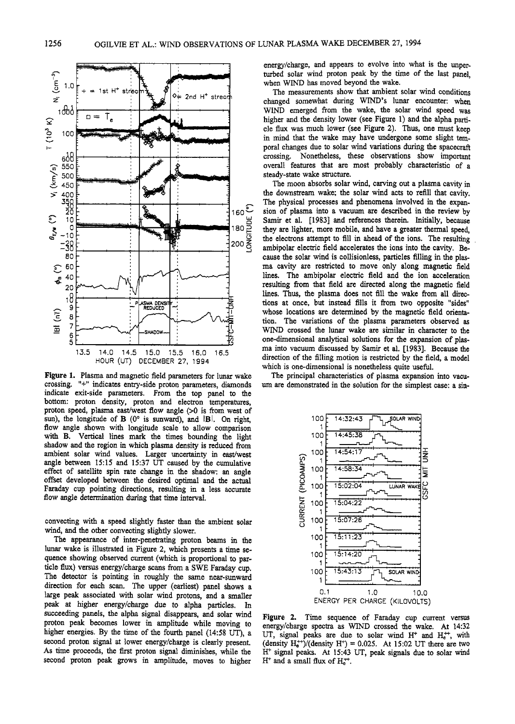

Figure 1. Plasma and magnetic field parameters for lunar wake crossing. "+" indicates entry-side proton parameters, diamonds indicate exit-side parameters. From the top panel to the bottom: proton density, proton and electron temperatures, proton speed, plasma east/west flow angle (>0 is from west of sun), the longitude of B (0° is sunward), and IB. On right, flow angle shown with longitude scale to allow comparison with B. Vertical lines mark the times bounding the light shadow and the region in which plasma density is reduced from ambient solar wind values. Larger uncertainty in east/west angle between 15:15 and 15:37 UT caused by the cumulative effect of satellite spin rate change in the shadow: an angle offset developed between the desired optimal and the actual Faraday cup pointing directions, resulting in a less accurate flow angle determination during that time interval.

convecting with a speed slightly faster than the ambient solar wind, and the other convecting slightly slower.

The appearance of inter-penetrating proton beams in the lunar wake is illustrated in Figure 2, which presents a time sequence showing observed current (which is proportional to particle flux) versus energy/charge scans from a SWE Faraday cup. The detector is pointing in roughly the same near-sunward direction for each scan. The upper (earliest) panel shows a large peak associated with solar wind protons, and a smaller peak at higher energy/charge due to alpha particles. In succeeding panels, the alpha signal disappears, and solar wind proton peak becomes lower in amplitude while moving to higher energies. By the time of the fourth panel (14:58 UT), a second proton signal at lower energy/charge is clearly present. As time proceeds, the first proton signal diminishes, while the second proton peak grows in amplitude, moves to higher energy/charge, and appears to evolve into what is the unperturbed solar wind proton peak by the time of the last panel. when WIND has moved beyond the wake.

The measurements show that ambient solar wind conditions changed somewhat during WIND's lunar encounter: when WIND emerged from the wake, the solar wind speed was higher and the density lower (see Figure 1) and the alpha particle flux was much lower (see Figure 2). Thus, one must keep in mind that the wake may have undergone some slight temporal changes due to solar wind variations during the spacecraft crossing. Nonetheless, these observations show important overall features that are most probably characteristic of a steady-state wake structure.

The moon absorbs solar wind, carving out a plasma cavity in the downstream wake; the solar wind acts to refill that cavity, The physical processes and phenomena involved in the expansion of plasma into a vacuum are described in the review by Samir et al. [1983] and references therein. Initially, because they are lighter, more mobile, and have a greater thermal speed. the electrons attempt to fill in ahead of the ions. The resulting ambipolar electric field accelerates the ions into the cavity. Because the solar wind is collisionless, particles filling in the plasma cavity are restricted to move only along magnetic field lines. The ambipolar electric field and the ion acceleration resulting from that field are directed along the magnetic field lines. Thus, the plasma does not fill the wake from all directions at once, but instead fills it from two opposite "sides" whose locations are determined by the magnetic field orientation. The variations of the plasma parameters observed as WIND crossed the lunar wake are similar in character to the one-dimensional analytical solutions for the expansion of plasma into vacuum discussed by Samir et al. [1983]. Because the direction of the filling motion is restricted by the field, a model which is one-dimensional is nonetheless quite useful.

The principal characteristics of plasma expansion into vacuum are demonstrated in the solution for the simplest case: a sin-



Figure 2. Time sequence of Faraday cup current versus energy/charge spectra as WIND crossed the wake. At 14:32 UT, signal peaks are due to solar wind  $H^+$  and  $H_{e}^{++}$ , with (density  $H_e^+$ )/(density  $H^+$ ) = 0.025. At 15:02 UT there are two H<sup>+</sup> signal peaks. At 15:43 UT, peak signals due to solar wind  $H^+$  and a small flux of  $H_c^{++}$ .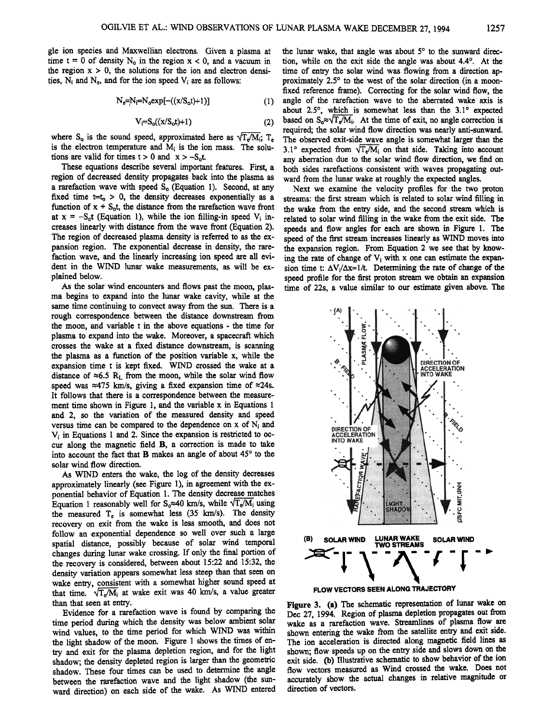**gle ion species and Maxwellian electrons. Given a plasma at**  time  $t = 0$  of density  $N_0$  in the region  $x < 0$ , and a vacuum in the region  $x > 0$ , the solutions for the ion and electron densi**ties, Ni and Ne, and for the ion speed Vi are as follows:** 

$$
N_e = N_i = N_0 exp[-((x/S_0 t) + 1)]
$$
 (1)

$$
V_i = S_o((x/S_o t) + 1) \tag{2}
$$

where  $S_0$  is the sound speed, approximated here as  $\sqrt{T_e/M_i}$ ;  $T_e$ is the electron temperature and M<sub>i</sub> is the ion mass. The solu**tions are valid for times**  $t > 0$  **and**  $x > -S_0 t$ **.** 

**These equations describe several important features. First, a region of decreased density propagates back into the plasma as**  a rarefaction wave with speed S<sub>o</sub> (Equation 1). Second, at any fixed time  $t=t_0 > 0$ , the density decreases exponentially as a function of  $x + S_0t$ , the distance from the rarefaction wave front at  $x = -S_0t$  (Equation 1), while the ion filling-in speed  $V_i$  in**creases linearly with distance from the wave front (Equation 2). The region of decreased plasma density is referred to as the expansion region. The exponential decrease in density, the rarefaction wave, and the linearly increasing ion speed are all evident in the WIND lunar wake measurements, as will be explained below.** 

**As the solar wind encounters and flows past the moon, plasma begins to expand into the lunar wake cavity, while at the same time continuing to convect away from the sun. There is a rough correspondence between the distance downstream from the moon, and variable t in the above equations- the time for plasma to expand into the wake. Moreover, a spacecraft which crosses the wake at a fixed distance downstream, is scanning the plasma as a function of the position variable x, while the expansion time t is kept fixed. WIND crossed the wake at a**  distance of  $\approx 6.5$  R<sub>L</sub> from the moon, while the solar wind flow speed was  $\approx$ 475 km/s, giving a fixed expansion time of  $\approx$ 24s. **It follows that there is a correspondence between the measurement time shown in Figure 1, and the variable x in Equations 1 and 2, so the variation of the measured density and speed versus time can be compared to the dependence on x of Ni and Vi in Equations 1and 2. Since the expansion is restricted to occur along the magnetic field B, a correction is made to take**  into account the fact that **B** makes an angle of about 45<sup>°</sup> to the **solar wind flow direction.** 

**As WIND enters the wake, the log of the density decreases approximately linearly (see Figure 1), in agreement with the exponential behavior of Equation 1. The density decrease matches**  Equation 1 reasonably well for  $S_0 \approx 40$  km/s, while  $\sqrt{T_e/M_i}$  using **the measured Te is somewhat less (35 km/s). The density recovery on exit from the wake is less smooth, and does not follow an exponential dependence so well over such a large spatial distance, possibly because of solar wind temporal changes during lunar wake crossing. If only the final portion of the recovery is considered, between about 15:22 and 15:32, the density variation appears somewhat less steep than that seen on wake entry, consistent with a somewhat higher sound speed at**  that time.  $\sqrt{T_e/M_i}$  at wake exit was 40 km/s, a value greater **than that seen at entry.** 

**Evidence for a rarefaction wave is found by comparing the time period during which the density was below ambient solar wind values, to the time period for which WIND was within**  the light shadow of the moon. Figure 1 shows the times of en**try and exit for the plasma depletion region, and for the light shadow; the density depleted region is larger than the geometric shadow. These four times can be used to determine the angle between the rarefaction wave and the light shadow (the sunward direction) on each side of the wake. As WIND entered**  the lunar wake, that angle was about 5<sup>°</sup> to the sunward direction, while on the exit side the angle was about 4.4<sup>o</sup>. At the **time of entry the solar wind was flowing from a direction ap**proximately 2.5<sup>°</sup> to the west of the solar direction (in a moon**fixed reference frame). Correcting for the solar wind flow, the angle of the rarefaction wave to the aberrated wake axis is**  about 2.5°, which is somewhat less than the 3.1° expected based on  $S_0 \approx \sqrt{T_e / M_i}$ . At the time of exit, no angle correction is **required; the solar wind flow direction was nearly anti-sunward. The observed exit-side wave angle is somewhat larger than the**  3.1° expected from  $\sqrt{T_e/M_i}$  on that side. Taking into account **any aberration due to the solar wind flow direction, we find on both sides rarefactions consistent with waves propagating outward from the lunar wake at roughly the expected angles.** 

**Next we examine the velocity profiles for the two proton streams: the first stream which is related to solar wind filling in the wake from the entry side, and the second stream which is related to solar wind filling in the wake from the exit side. The speeds and flow angles for each are shown in Figure 1. The speed of the first stream increases linearly as WIND moves into the expansion region. From Equation 2 we see that by know**ing the rate of change of  $V_i$  with x one can estimate the expansion time t:  $\Delta V_i/\Delta x=1/t$ . Determining the rate of change of the **speed profile for the first proton stream we obtain an expansion time of 22s, a value similar to our estimate given above. The** 



**Figure 3. (a) The schematic representation of lunar wake on Dec 27, 1994. Region of plasma depletion propagates out from wake as a rarefaction wave. Streamlines of plasma flow are shown entering the wake from the satellite entry and exit side.**  The ion acceleration is directed along magnetic field lines as **shown; flow speeds up on the entry side and slows down on the**  exit side. (b) Illustrative schematic to show behavior of the ion **flow vectors measured as Wind crossed the wake. Does not accurately show the actual changes in relative magnitude or direction of vectors.**